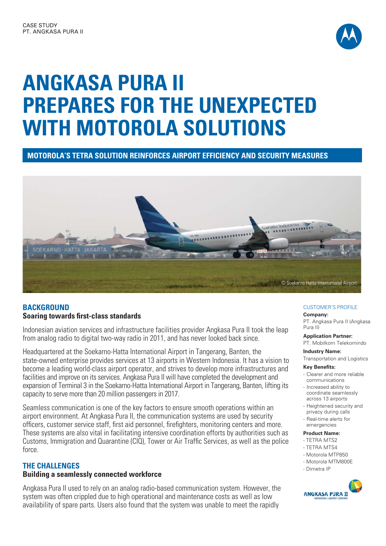

# **ANGKASA PURA II PREPARES FOR THE UNEXPECTED WITH MOTOROLA SOLUTIONS**

**MOTOROLA'S TETRA SOLUTION REINFORCES AIRPORT EFFICIENCY AND SECURITY MEASURES**



# **BACKGROUND Soaring towards first-class standards**

Indonesian aviation services and infrastructure facilities provider Angkasa Pura II took the leap from analog radio to digital two-way radio in 2011, and has never looked back since.

Headquartered at the Soekarno-Hatta International Airport in Tangerang, Banten, the state-owned enterprise provides services at 13 airports in Western Indonesia. It has a vision to become a leading world-class airport operator, and strives to develop more infrastructures and facilities and improve on its services. Angkasa Pura II will have completed the development and expansion of Terminal 3 in the Soekarno-Hatta International Airport in Tangerang, Banten, lifting its capacity to serve more than 20 million passengers in 2017.

Seamless communication is one of the key factors to ensure smooth operations within an airport environment. At Angkasa Pura II, the communication systems are used by security officers, customer service staff, first aid personnel, firefighters, monitoring centers and more. These systems are also vital in facilitating intensive coordination efforts by authorities such as Customs, Immigration and Quarantine (CIQ), Tower or Air Traffic Services, as well as the police force.

## **THE CHALLENGES**

## **Building a seamlessly connected workforce**

Angkasa Pura II used to rely on an analog radio-based communication system. However, the system was often crippled due to high operational and maintenance costs as well as low availability of spare parts. Users also found that the system was unable to meet the rapidly

### CUSTOMER'S PROFILE

#### **Company:**

PT. Angkasa Pura II (Angkasa Pura II)

#### **Application Partner:**

PT. Mobilkom Telekomindo

#### **Industry Name:**

Transportation and Logistics

#### **Key Benefits:**

- Clearer and more reliable communications
- Increased ability to coordinate seamlessly across 13 airports
- Heightened security and privacy during calls
- Real-time alerts for emergencies

#### **Product Name:**

- TETRA MTS2
- TETRA MTS4
- Motorola MTP850
- Motorola MTM800E
- Dimetra IP